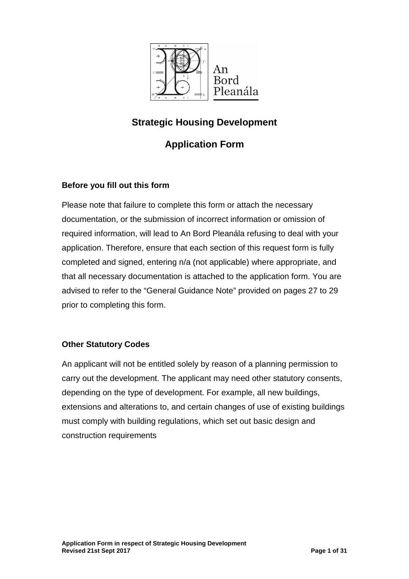

# **Strategic Housing Development**

# **Application Form**

### **Before you fill out this form**

Please note that failure to complete this form or attach the necessary documentation, or the submission of incorrect information or omission of required information, will lead to An Bord Pleanála refusing to deal with your application. Therefore, ensure that each section of this request form is fully completed and signed, entering n/a (not applicable) where appropriate, and that all necessary documentation is attached to the application form. You are advised to refer to the "General Guidance Note" provided on pages 27 to 29 prior to completing this form.

### **Other Statutory Codes**

An applicant will not be entitled solely by reason of a planning permission to carry out the development. The applicant may need other statutory consents, depending on the type of development. For example, all new buildings, extensions and alterations to, and certain changes of use of existing buildings must comply with building regulations, which set out basic design and construction requirements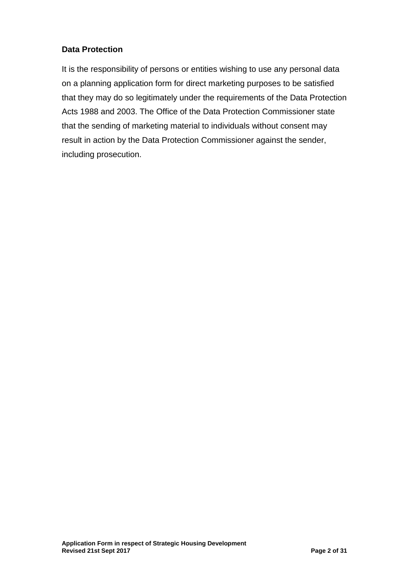## **Data Protection**

It is the responsibility of persons or entities wishing to use any personal data on a planning application form for direct marketing purposes to be satisfied that they may do so legitimately under the requirements of the Data Protection Acts 1988 and 2003. The Office of the Data Protection Commissioner state that the sending of marketing material to individuals without consent may result in action by the Data Protection Commissioner against the sender, including prosecution.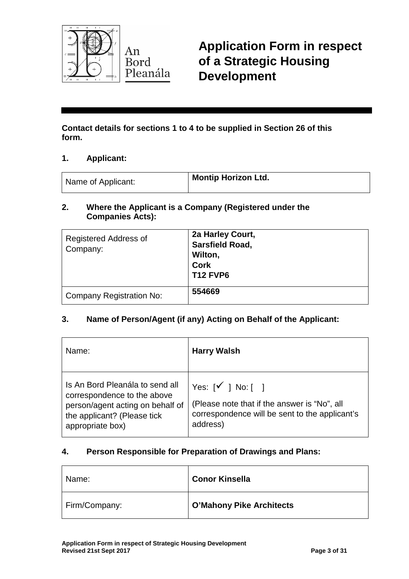

**Application Form in respect of a Strategic Housing Development**

**Contact details for sections 1 to 4 to be supplied in Section 26 of this form.**

#### **1. Applicant:**

| Name of Applicant: | <sup>1</sup> Montip Horizon Ltd. |
|--------------------|----------------------------------|
|--------------------|----------------------------------|

#### **2. Where the Applicant is a Company (Registered under the Companies Acts):**

| <b>Registered Address of</b><br>Company: | 2a Harley Court,<br>Sarsfield Road,<br>Wilton,<br><b>Cork</b><br><b>T12 FVP6</b> |
|------------------------------------------|----------------------------------------------------------------------------------|
| <b>Company Registration No:</b>          | 554669                                                                           |

### **3. Name of Person/Agent (if any) Acting on Behalf of the Applicant:**

| Name:                                                                                                                                                 | <b>Harry Walsh</b>                                                                                                                                   |
|-------------------------------------------------------------------------------------------------------------------------------------------------------|------------------------------------------------------------------------------------------------------------------------------------------------------|
| Is An Bord Pleanála to send all<br>correspondence to the above<br>person/agent acting on behalf of<br>the applicant? (Please tick<br>appropriate box) | $\forall$ es: [ $\checkmark$ ] No: [ ]<br>(Please note that if the answer is "No", all<br>correspondence will be sent to the applicant's<br>address) |

### **4. Person Responsible for Preparation of Drawings and Plans:**

| Name:         | <b>Conor Kinsella</b>           |
|---------------|---------------------------------|
| Firm/Company: | <b>O'Mahony Pike Architects</b> |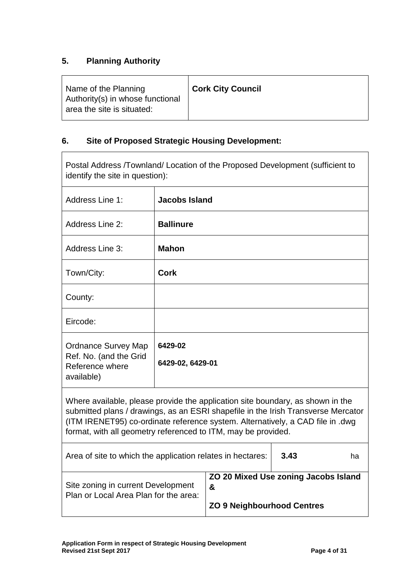## **5. Planning Authority**

| Name of the Planning<br>Authority(s) in whose functional<br>area the site is situated: | <b>Cork City Council</b> |
|----------------------------------------------------------------------------------------|--------------------------|
|                                                                                        |                          |

# **6. Site of Proposed Strategic Housing Development:**

| Postal Address /Townland/ Location of the Proposed Development (sufficient to<br>identify the site in question):                                                                                                                                                                                                       |                      |  |  |
|------------------------------------------------------------------------------------------------------------------------------------------------------------------------------------------------------------------------------------------------------------------------------------------------------------------------|----------------------|--|--|
| Address Line 1:                                                                                                                                                                                                                                                                                                        | <b>Jacobs Island</b> |  |  |
| Address Line 2:                                                                                                                                                                                                                                                                                                        | <b>Ballinure</b>     |  |  |
| Address Line 3:                                                                                                                                                                                                                                                                                                        | <b>Mahon</b>         |  |  |
| Town/City:                                                                                                                                                                                                                                                                                                             | <b>Cork</b>          |  |  |
| County:                                                                                                                                                                                                                                                                                                                |                      |  |  |
| Eircode:                                                                                                                                                                                                                                                                                                               |                      |  |  |
| 6429-02<br><b>Ordnance Survey Map</b><br>Ref. No. (and the Grid<br>6429-02, 6429-01<br>Reference where<br>available)                                                                                                                                                                                                   |                      |  |  |
| Where available, please provide the application site boundary, as shown in the<br>submitted plans / drawings, as an ESRI shapefile in the Irish Transverse Mercator<br>(ITM IRENET95) co-ordinate reference system. Alternatively, a CAD file in .dwg<br>format, with all geometry referenced to ITM, may be provided. |                      |  |  |
| 3.43<br>Area of site to which the application relates in hectares:<br>ha                                                                                                                                                                                                                                               |                      |  |  |

| ZO 20 Mixed Use zoning Jacobs Island |
|--------------------------------------|
| &                                    |
|                                      |
| <b>ZO 9 Neighbourhood Centres</b>    |
|                                      |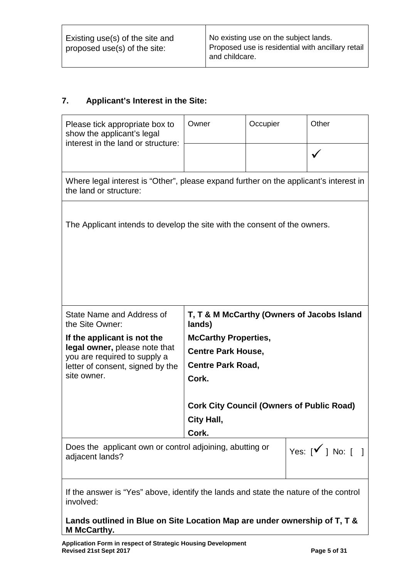### **7. Applicant's Interest in the Site:**

| Please tick appropriate box to<br>show the applicant's legal<br>interest in the land or structure:              | Owner                       | Occupier                                             | Other                                            |  |
|-----------------------------------------------------------------------------------------------------------------|-----------------------------|------------------------------------------------------|--------------------------------------------------|--|
|                                                                                                                 |                             |                                                      |                                                  |  |
| Where legal interest is "Other", please expand further on the applicant's interest in<br>the land or structure: |                             |                                                      |                                                  |  |
| The Applicant intends to develop the site with the consent of the owners.                                       |                             |                                                      |                                                  |  |
| State Name and Address of<br>the Site Owner:                                                                    | lands)                      |                                                      | T, T & M McCarthy (Owners of Jacobs Island       |  |
| If the applicant is not the                                                                                     | <b>McCarthy Properties,</b> |                                                      |                                                  |  |
| legal owner, please note that<br>you are required to supply a                                                   | <b>Centre Park House,</b>   |                                                      |                                                  |  |
| letter of consent, signed by the                                                                                | <b>Centre Park Road,</b>    |                                                      |                                                  |  |
| site owner.                                                                                                     | Cork.                       |                                                      |                                                  |  |
|                                                                                                                 |                             |                                                      | <b>Cork City Council (Owners of Public Road)</b> |  |
|                                                                                                                 | City Hall,                  |                                                      |                                                  |  |
|                                                                                                                 | Cork.                       |                                                      |                                                  |  |
| Does the applicant own or control adjoining, abutting or<br>adjacent lands?                                     |                             | Yes: $\lceil \sqrt{\ } \rceil$ No: $\lceil \ \rceil$ |                                                  |  |
| If the answer is "Yes" above, identify the lands and state the nature of the control<br>involved:               |                             |                                                      |                                                  |  |

#### **Lands outlined in Blue on Site Location Map are under ownership of T, T & M McCarthy.**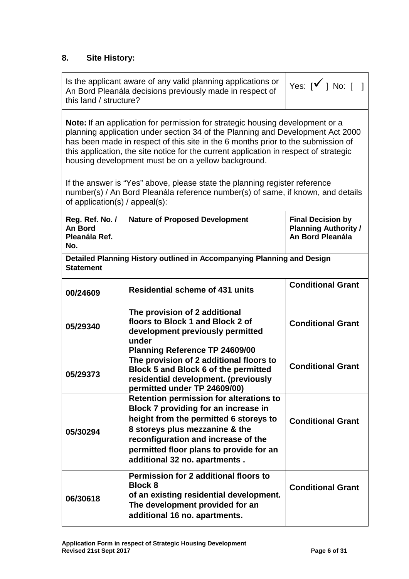## **8. Site History:**

 $\Gamma$ 

| this land / structure?                             | Is the applicant aware of any valid planning applications or<br>An Bord Pleanála decisions previously made in respect of                                                                                                                                                                                                                                                                                   | Yes: $\lceil \sqrt{\ } \rceil$ No: $\lceil \ \rceil$                        |
|----------------------------------------------------|------------------------------------------------------------------------------------------------------------------------------------------------------------------------------------------------------------------------------------------------------------------------------------------------------------------------------------------------------------------------------------------------------------|-----------------------------------------------------------------------------|
|                                                    | <b>Note:</b> If an application for permission for strategic housing development or a<br>planning application under section 34 of the Planning and Development Act 2000<br>has been made in respect of this site in the 6 months prior to the submission of<br>this application, the site notice for the current application in respect of strategic<br>housing development must be on a yellow background. |                                                                             |
| of application(s) / appeal(s):                     | If the answer is "Yes" above, please state the planning register reference<br>number(s) / An Bord Pleanála reference number(s) of same, if known, and details                                                                                                                                                                                                                                              |                                                                             |
| Reg. Ref. No. /<br>An Bord<br>Pleanála Ref.<br>No. | <b>Nature of Proposed Development</b>                                                                                                                                                                                                                                                                                                                                                                      | <b>Final Decision by</b><br><b>Planning Authority /</b><br>An Bord Pleanála |
| <b>Statement</b>                                   | Detailed Planning History outlined in Accompanying Planning and Design                                                                                                                                                                                                                                                                                                                                     |                                                                             |
| 00/24609                                           | <b>Residential scheme of 431 units</b>                                                                                                                                                                                                                                                                                                                                                                     | <b>Conditional Grant</b>                                                    |
| 05/29340                                           | The provision of 2 additional<br>floors to Block 1 and Block 2 of<br>development previously permitted<br>under<br>Planning Reference TP 24609/00                                                                                                                                                                                                                                                           | <b>Conditional Grant</b>                                                    |
| 05/29373                                           | The provision of 2 additional floors to<br>Block 5 and Block 6 of the permitted<br>residential development. (previously<br>permitted under TP 24609/00)                                                                                                                                                                                                                                                    | <b>Conditional Grant</b>                                                    |
| 05/30294                                           | <b>Retention permission for alterations to</b><br>Block 7 providing for an increase in<br>height from the permitted 6 storeys to<br>8 storeys plus mezzanine & the<br>reconfiguration and increase of the<br>permitted floor plans to provide for an<br>additional 32 no. apartments.                                                                                                                      | <b>Conditional Grant</b>                                                    |
| 06/30618                                           | <b>Permission for 2 additional floors to</b><br><b>Block 8</b><br>of an existing residential development.<br>The development provided for an<br>additional 16 no. apartments.                                                                                                                                                                                                                              | <b>Conditional Grant</b>                                                    |

 $\overline{\phantom{a}}$ 

 $\top$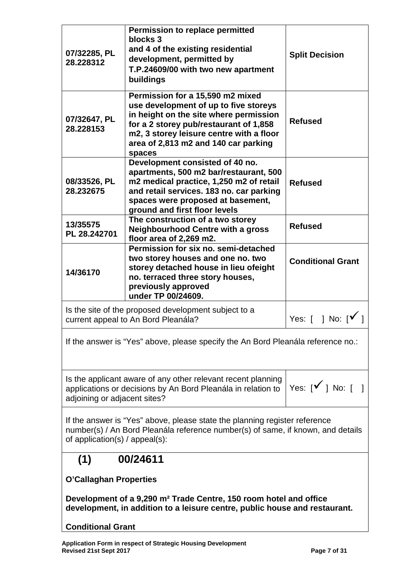| 07/32285, PL<br>28.228312                                                                                                                                                                       | <b>Permission to replace permitted</b><br>blocks 3<br>and 4 of the existing residential<br>development, permitted by<br>T.P.24609/00 with two new apartment<br>buildings                                                                                                      | <b>Split Decision</b>             |
|-------------------------------------------------------------------------------------------------------------------------------------------------------------------------------------------------|-------------------------------------------------------------------------------------------------------------------------------------------------------------------------------------------------------------------------------------------------------------------------------|-----------------------------------|
| 07/32647, PL<br>28.228153                                                                                                                                                                       | Permission for a 15,590 m2 mixed<br>use development of up to five storeys<br>in height on the site where permission<br><b>Refused</b><br>for a 2 storey pub/restaurant of 1,858<br>m2, 3 storey leisure centre with a floor<br>area of 2,813 m2 and 140 car parking<br>spaces |                                   |
| 08/33526, PL<br>28.232675                                                                                                                                                                       | Development consisted of 40 no.<br>apartments, 500 m2 bar/restaurant, 500<br>m2 medical practice, 1,250 m2 of retail<br>and retail services. 183 no. car parking<br>spaces were proposed at basement,<br>ground and first floor levels                                        | <b>Refused</b>                    |
| 13/35575<br>PL 28.242701                                                                                                                                                                        | The construction of a two storey<br><b>Neighbourhood Centre with a gross</b><br>floor area of 2,269 m2.                                                                                                                                                                       | <b>Refused</b>                    |
| 14/36170                                                                                                                                                                                        | Permission for six no. semi-detached<br>two storey houses and one no. two<br><b>Conditional Grant</b><br>storey detached house in lieu ofeight<br>no. terraced three story houses,<br>previously approved<br>under TP 00/24609.                                               |                                   |
|                                                                                                                                                                                                 | Is the site of the proposed development subject to a<br>current appeal to An Bord Pleanála?                                                                                                                                                                                   | Yes: $[ \ ]$ No: $[ \checkmark \$ |
| If the answer is "Yes" above, please specify the An Bord Pleanála reference no.:                                                                                                                |                                                                                                                                                                                                                                                                               |                                   |
| Is the applicant aware of any other relevant recent planning<br>Yes: $[\checkmark]$ No: [ ]<br>applications or decisions by An Bord Pleanála in relation to<br>adjoining or adjacent sites?     |                                                                                                                                                                                                                                                                               |                                   |
| If the answer is "Yes" above, please state the planning register reference<br>number(s) / An Bord Pleanála reference number(s) of same, if known, and details<br>of application(s) / appeal(s): |                                                                                                                                                                                                                                                                               |                                   |
| 00/24611<br>(1)                                                                                                                                                                                 |                                                                                                                                                                                                                                                                               |                                   |
| <b>O'Callaghan Properties</b>                                                                                                                                                                   |                                                                                                                                                                                                                                                                               |                                   |
| Development of a 9,290 m <sup>2</sup> Trade Centre, 150 room hotel and office<br>development, in addition to a leisure centre, public house and restaurant.                                     |                                                                                                                                                                                                                                                                               |                                   |
| <b>Conditional Grant</b>                                                                                                                                                                        |                                                                                                                                                                                                                                                                               |                                   |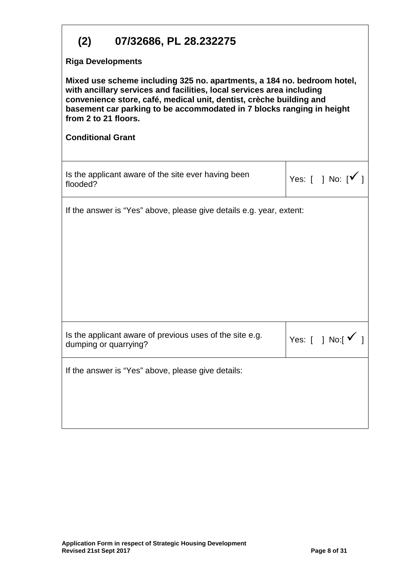| 07/32686, PL 28.232275<br>(2)                                                                                                                                                                                                                                                                                                                        |                                                                                   |                                   |
|------------------------------------------------------------------------------------------------------------------------------------------------------------------------------------------------------------------------------------------------------------------------------------------------------------------------------------------------------|-----------------------------------------------------------------------------------|-----------------------------------|
| <b>Riga Developments</b><br>Mixed use scheme including 325 no. apartments, a 184 no. bedroom hotel,<br>with ancillary services and facilities, local services area including<br>convenience store, café, medical unit, dentist, crèche building and<br>basement car parking to be accommodated in 7 blocks ranging in height<br>from 2 to 21 floors. |                                                                                   |                                   |
| <b>Conditional Grant</b>                                                                                                                                                                                                                                                                                                                             |                                                                                   |                                   |
| flooded?                                                                                                                                                                                                                                                                                                                                             | Is the applicant aware of the site ever having been                               | Yes: $[ \ ]$ No: $[ \checkmark ]$ |
| If the answer is "Yes" above, please give details e.g. year, extent:                                                                                                                                                                                                                                                                                 |                                                                                   |                                   |
|                                                                                                                                                                                                                                                                                                                                                      |                                                                                   |                                   |
|                                                                                                                                                                                                                                                                                                                                                      |                                                                                   |                                   |
|                                                                                                                                                                                                                                                                                                                                                      |                                                                                   |                                   |
|                                                                                                                                                                                                                                                                                                                                                      |                                                                                   |                                   |
|                                                                                                                                                                                                                                                                                                                                                      | Is the applicant aware of previous uses of the site e.g.<br>dumping or quarrying? | Yes: $[$ ] No: $[$ $\checkmark$   |
|                                                                                                                                                                                                                                                                                                                                                      | If the answer is "Yes" above, please give details:                                |                                   |
|                                                                                                                                                                                                                                                                                                                                                      |                                                                                   |                                   |
|                                                                                                                                                                                                                                                                                                                                                      |                                                                                   |                                   |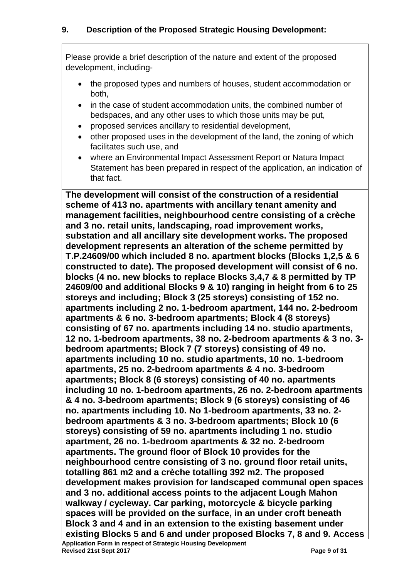Please provide a brief description of the nature and extent of the proposed development, including-

- the proposed types and numbers of houses, student accommodation or both,
- in the case of student accommodation units, the combined number of bedspaces, and any other uses to which those units may be put,
- proposed services ancillary to residential development,
- other proposed uses in the development of the land, the zoning of which facilitates such use, and
- where an Environmental Impact Assessment Report or Natura Impact Statement has been prepared in respect of the application, an indication of that fact.

**The development will consist of the construction of a residential scheme of 413 no. apartments with ancillary tenant amenity and management facilities, neighbourhood centre consisting of a crèche and 3 no. retail units, landscaping, road improvement works, substation and all ancillary site development works. The proposed development represents an alteration of the scheme permitted by T.P.24609/00 which included 8 no. apartment blocks (Blocks 1,2,5 & 6 constructed to date). The proposed development will consist of 6 no. blocks (4 no. new blocks to replace Blocks 3,4,7 & 8 permitted by TP 24609/00 and additional Blocks 9 & 10) ranging in height from 6 to 25 storeys and including; Block 3 (25 storeys) consisting of 152 no. apartments including 2 no. 1-bedroom apartment, 144 no. 2-bedroom apartments & 6 no. 3-bedroom apartments; Block 4 (8 storeys) consisting of 67 no. apartments including 14 no. studio apartments, 12 no. 1-bedroom apartments, 38 no. 2-bedroom apartments & 3 no. 3 bedroom apartments; Block 7 (7 storeys) consisting of 49 no. apartments including 10 no. studio apartments, 10 no. 1-bedroom apartments, 25 no. 2-bedroom apartments & 4 no. 3-bedroom apartments; Block 8 (6 storeys) consisting of 40 no. apartments including 10 no. 1-bedroom apartments, 26 no. 2-bedroom apartments & 4 no. 3-bedroom apartments; Block 9 (6 storeys) consisting of 46 no. apartments including 10. No 1-bedroom apartments, 33 no. 2 bedroom apartments & 3 no. 3-bedroom apartments; Block 10 (6 storeys) consisting of 59 no. apartments including 1 no. studio apartment, 26 no. 1-bedroom apartments & 32 no. 2-bedroom apartments. The ground floor of Block 10 provides for the neighbourhood centre consisting of 3 no. ground floor retail units, totalling 861 m2 and a crèche totalling 392 m2. The proposed development makes provision for landscaped communal open spaces and 3 no. additional access points to the adjacent Lough Mahon walkway / cycleway. Car parking, motorcycle & bicycle parking spaces will be provided on the surface, in an under croft beneath Block 3 and 4 and in an extension to the existing basement under existing Blocks 5 and 6 and under proposed Blocks 7, 8 and 9. Access**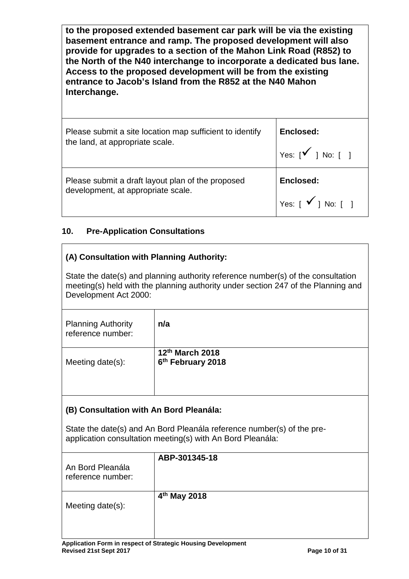**to the proposed extended basement car park will be via the existing basement entrance and ramp. The proposed development will also provide for upgrades to a section of the Mahon Link Road (R852) to the North of the N40 interchange to incorporate a dedicated bus lane. Access to the proposed development will be from the existing entrance to Jacob's Island from the R852 at the N40 Mahon Interchange.**

Please submit a site location map sufficient to identify the land, at appropriate scale. **Enclosed:** Yes:  $\begin{bmatrix} \checkmark & 1 \\ 1 & \checkmark \end{bmatrix}$ Please submit a draft layout plan of the proposed development, at appropriate scale. **Enclosed:** Yes:  $\lceil \sqrt{\ } \rceil$  No:  $\lceil \ \rceil$ 

## **10. Pre-Application Consultations**

### **(A) Consultation with Planning Authority:**

State the date(s) and planning authority reference number(s) of the consultation meeting(s) held with the planning authority under section 247 of the Planning and Development Act 2000:

| <b>Planning Authority</b><br>reference number: | n/a                                              |
|------------------------------------------------|--------------------------------------------------|
| Meeting date $(s)$ :                           | 12th March 2018<br>6 <sup>th</sup> February 2018 |

### **(B) Consultation with An Bord Pleanála:**

State the date(s) and An Bord Pleanála reference number(s) of the preapplication consultation meeting(s) with An Bord Pleanála:

| An Bord Pleanála<br>reference number: | ABP-301345-18            |
|---------------------------------------|--------------------------|
| Meeting date(s):                      | 4 <sup>th</sup> May 2018 |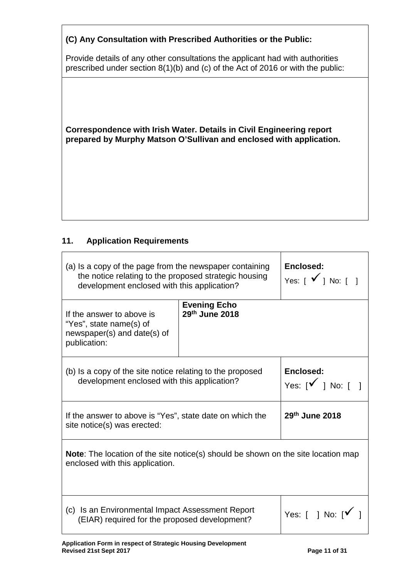| (C) Any Consultation with Prescribed Authorities or the Public:                                                                                                  |  |  |
|------------------------------------------------------------------------------------------------------------------------------------------------------------------|--|--|
| Provide details of any other consultations the applicant had with authorities<br>prescribed under section 8(1)(b) and (c) of the Act of 2016 or with the public: |  |  |
|                                                                                                                                                                  |  |  |
| Correspondence with Irish Water. Details in Civil Engineering report<br>prepared by Murphy Matson O'Sullivan and enclosed with application.                      |  |  |
|                                                                                                                                                                  |  |  |

## **11. Application Requirements**

| (a) Is a copy of the page from the newspaper containing<br>the notice relating to the proposed strategic housing<br>development enclosed with this application? |                                               | Enclosed:<br>Yes: $\begin{bmatrix} \checkmark \end{bmatrix}$ No: $\begin{bmatrix} \checkmark \end{bmatrix}$ |  |
|-----------------------------------------------------------------------------------------------------------------------------------------------------------------|-----------------------------------------------|-------------------------------------------------------------------------------------------------------------|--|
| If the answer to above is<br>"Yes", state name(s) of<br>newspaper(s) and date(s) of<br>publication:                                                             | <b>Evening Echo</b><br>29th June 2018         |                                                                                                             |  |
| (b) Is a copy of the site notice relating to the proposed<br>development enclosed with this application?                                                        | Enclosed:<br>Yes: $[\checkmark]$ No: $[ \; ]$ |                                                                                                             |  |
| If the answer to above is "Yes", state date on which the<br>site notice(s) was erected:                                                                         |                                               | 29th June 2018                                                                                              |  |
| <b>Note:</b> The location of the site notice(s) should be shown on the site location map<br>enclosed with this application.                                     |                                               |                                                                                                             |  |
| (c) Is an Environmental Impact Assessment Report<br>(EIAR) required for the proposed development?                                                               |                                               | Yes: $\lceil$   No: $\lceil \sqrt{\ } \rceil$                                                               |  |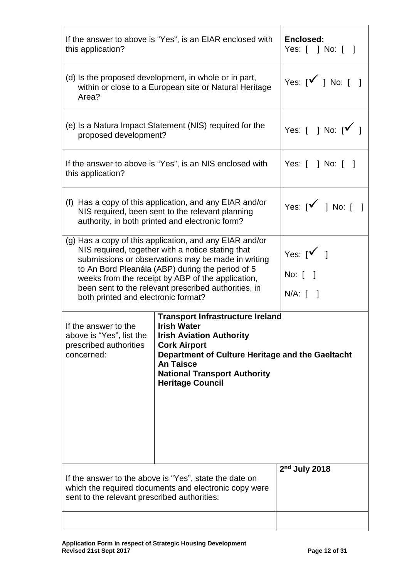| If the answer to above is "Yes", is an EIAR enclosed with<br>this application?                                                                                                                                                                                                                                                                                             | Enclosed:<br>Yes: [ ] No: [ ]                                                |                  |  |
|----------------------------------------------------------------------------------------------------------------------------------------------------------------------------------------------------------------------------------------------------------------------------------------------------------------------------------------------------------------------------|------------------------------------------------------------------------------|------------------|--|
| (d) Is the proposed development, in whole or in part,<br>within or close to a European site or Natural Heritage<br>Area?                                                                                                                                                                                                                                                   | Yes: $[\checkmark]$ No: $[$ ]                                                |                  |  |
| (e) Is a Natura Impact Statement (NIS) required for the<br>proposed development?                                                                                                                                                                                                                                                                                           | Yes: $\begin{bmatrix} 1 & \text{No: } \mathbb{I} & \mathbb{I} \end{bmatrix}$ |                  |  |
| this application?                                                                                                                                                                                                                                                                                                                                                          | If the answer to above is "Yes", is an NIS enclosed with                     | Yes: [ ] No: [ ] |  |
| (f) Has a copy of this application, and any EIAR and/or<br>NIS required, been sent to the relevant planning<br>authority, in both printed and electronic form?                                                                                                                                                                                                             | Yes: $[\sqrt{ } ]$ No: $[ ]$                                                 |                  |  |
| (g) Has a copy of this application, and any EIAR and/or<br>NIS required, together with a notice stating that<br>submissions or observations may be made in writing<br>to An Bord Pleanála (ABP) during the period of 5<br>weeks from the receipt by ABP of the application,<br>been sent to the relevant prescribed authorities, in<br>both printed and electronic format? | Yes: $[\check{v}]$<br>No: $\begin{bmatrix} \end{bmatrix}$<br>$N/A:$ [ ]      |                  |  |
| <b>Transport Infrastructure Ireland</b><br><b>Irish Water</b><br>If the answer to the<br>above is "Yes", list the<br><b>Irish Aviation Authority</b><br>prescribed authorities<br><b>Cork Airport</b><br>concerned:<br>Department of Culture Heritage and the Gaeltacht<br><b>An Taisce</b><br><b>National Transport Authority</b><br><b>Heritage Council</b>              |                                                                              |                  |  |
| $2nd$ July 2018<br>If the answer to the above is "Yes", state the date on<br>which the required documents and electronic copy were<br>sent to the relevant prescribed authorities:                                                                                                                                                                                         |                                                                              |                  |  |
|                                                                                                                                                                                                                                                                                                                                                                            |                                                                              |                  |  |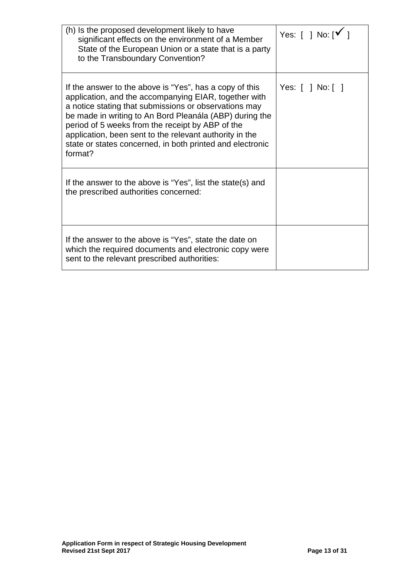| (h) Is the proposed development likely to have<br>significant effects on the environment of a Member<br>State of the European Union or a state that is a party<br>to the Transboundary Convention?                                                                                                                                                                                                                          | Yes: $\lceil$   No: $\lceil \sqrt{ } \rceil$ |
|-----------------------------------------------------------------------------------------------------------------------------------------------------------------------------------------------------------------------------------------------------------------------------------------------------------------------------------------------------------------------------------------------------------------------------|----------------------------------------------|
| If the answer to the above is "Yes", has a copy of this<br>application, and the accompanying EIAR, together with<br>a notice stating that submissions or observations may<br>be made in writing to An Bord Pleanála (ABP) during the<br>period of 5 weeks from the receipt by ABP of the<br>application, been sent to the relevant authority in the<br>state or states concerned, in both printed and electronic<br>format? | Yes: $[   No :   ]$                          |
| If the answer to the above is "Yes", list the state(s) and<br>the prescribed authorities concerned:                                                                                                                                                                                                                                                                                                                         |                                              |
| If the answer to the above is "Yes", state the date on<br>which the required documents and electronic copy were<br>sent to the relevant prescribed authorities:                                                                                                                                                                                                                                                             |                                              |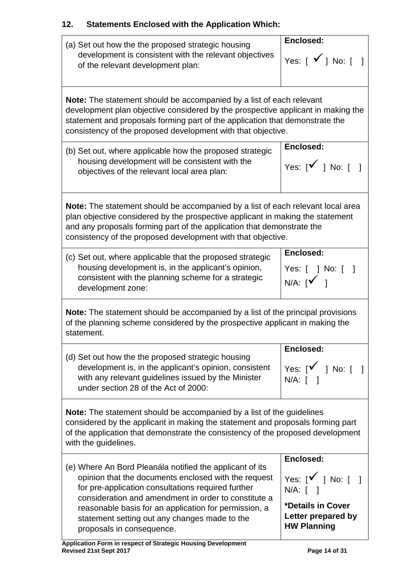# **12. Statements Enclosed with the Application Which:**

| (a) Set out how the the proposed strategic housing<br>development is consistent with the relevant objectives<br>of the relevant development plan:                                                                                                                                                                                                                     | Enclosed:<br>Yes: $\begin{bmatrix} \checkmark \end{bmatrix}$ No: $\begin{bmatrix} \checkmark \end{bmatrix}$               |  |  |
|-----------------------------------------------------------------------------------------------------------------------------------------------------------------------------------------------------------------------------------------------------------------------------------------------------------------------------------------------------------------------|---------------------------------------------------------------------------------------------------------------------------|--|--|
| <b>Note:</b> The statement should be accompanied by a list of each relevant<br>development plan objective considered by the prospective applicant in making the<br>statement and proposals forming part of the application that demonstrate the<br>consistency of the proposed development with that objective.                                                       |                                                                                                                           |  |  |
| (b) Set out, where applicable how the proposed strategic<br>housing development will be consistent with the<br>objectives of the relevant local area plan:                                                                                                                                                                                                            | Enclosed:<br>Yes: $[\sqrt{ } ]$ No: $[ ]$                                                                                 |  |  |
| <b>Note:</b> The statement should be accompanied by a list of each relevant local area<br>plan objective considered by the prospective applicant in making the statement<br>and any proposals forming part of the application that demonstrate the<br>consistency of the proposed development with that objective.                                                    |                                                                                                                           |  |  |
| (c) Set out, where applicable that the proposed strategic<br>housing development is, in the applicant's opinion,<br>consistent with the planning scheme for a strategic<br>development zone:                                                                                                                                                                          | Enclosed:<br>Yes: [ ] No: [ ]<br>$N/A:$ $\begin{bmatrix} 1 \\ 1 \end{bmatrix}$                                            |  |  |
| <b>Note:</b> The statement should be accompanied by a list of the principal provisions<br>of the planning scheme considered by the prospective applicant in making the<br>statement.                                                                                                                                                                                  |                                                                                                                           |  |  |
| (d) Set out how the the proposed strategic housing<br>development is, in the applicant's opinion, consistent<br>with any relevant guidelines issued by the Minister<br>under section 28 of the Act of 2000:                                                                                                                                                           | Enclosed:<br>Yes: $[\sqrt{ } ]$ No: $[ ]$<br>$N/A$ : $\lceil \quad \rceil$                                                |  |  |
| <b>Note:</b> The statement should be accompanied by a list of the guidelines<br>considered by the applicant in making the statement and proposals forming part<br>of the application that demonstrate the consistency of the proposed development<br>with the guidelines.                                                                                             |                                                                                                                           |  |  |
| (e) Where An Bord Pleanála notified the applicant of its<br>opinion that the documents enclosed with the request<br>for pre-application consultations required further<br>consideration and amendment in order to constitute a<br>reasonable basis for an application for permission, a<br>statement setting out any changes made to the<br>proposals in consequence. | Enclosed:<br>Yes: $[\sqrt{ } ]$ No: $[ ]$<br>$N/A$ : [ ]<br>*Details in Cover<br>Letter prepared by<br><b>HW Planning</b> |  |  |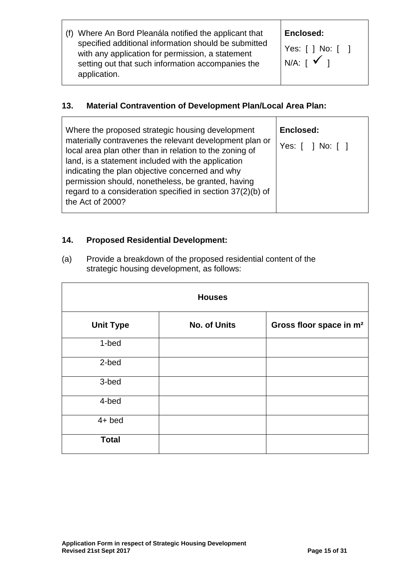| (f) Where An Bord Pleanála notified the applicant that                                                                                                                        | Er       |
|-------------------------------------------------------------------------------------------------------------------------------------------------------------------------------|----------|
| specified additional information should be submitted<br>with any application for permission, a statement<br>setting out that such information accompanies the<br>application. | Yε<br>N/ |

#### **Enclosed:**

Τ

Yes: [ ] No: [ ]  $'A: [$   $\checkmark$  ]

## **13. Material Contravention of Development Plan/Local Area Plan:**

| Where the proposed strategic housing development<br>materially contravenes the relevant development plan or   | Enclosed:<br>Yes: [ ] No: [ ] |
|---------------------------------------------------------------------------------------------------------------|-------------------------------|
| local area plan other than in relation to the zoning of<br>land, is a statement included with the application |                               |
| indicating the plan objective concerned and why<br>permission should, nonetheless, be granted, having         |                               |
| regard to a consideration specified in section 37(2)(b) of<br>the Act of 2000?                                |                               |

## **14. Proposed Residential Development:**

(a) Provide a breakdown of the proposed residential content of the strategic housing development, as follows:

| <b>Houses</b>    |                     |                                     |  |
|------------------|---------------------|-------------------------------------|--|
| <b>Unit Type</b> | <b>No. of Units</b> | Gross floor space in m <sup>2</sup> |  |
| 1-bed            |                     |                                     |  |
| 2-bed            |                     |                                     |  |
| 3-bed            |                     |                                     |  |
| 4-bed            |                     |                                     |  |
| $4+$ bed         |                     |                                     |  |
| <b>Total</b>     |                     |                                     |  |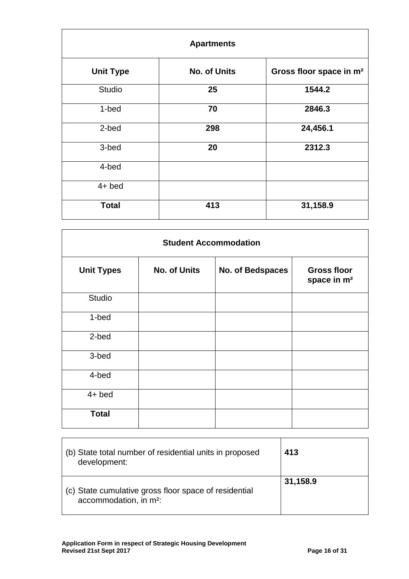| <b>Apartments</b> |                     |                                     |  |
|-------------------|---------------------|-------------------------------------|--|
| <b>Unit Type</b>  | <b>No. of Units</b> | Gross floor space in m <sup>2</sup> |  |
| <b>Studio</b>     | 25                  | 1544.2                              |  |
| 1-bed             | 70                  | 2846.3                              |  |
| 2-bed             | 298                 | 24,456.1                            |  |
| 3-bed             | 20                  | 2312.3                              |  |
| 4-bed             |                     |                                     |  |
| $4+$ bed          |                     |                                     |  |
| <b>Total</b>      | 413                 | 31,158.9                            |  |

| <b>Student Accommodation</b> |                     |                  |                                               |
|------------------------------|---------------------|------------------|-----------------------------------------------|
| <b>Unit Types</b>            | <b>No. of Units</b> | No. of Bedspaces | <b>Gross floor</b><br>space in m <sup>2</sup> |
| <b>Studio</b>                |                     |                  |                                               |
| 1-bed                        |                     |                  |                                               |
| 2-bed                        |                     |                  |                                               |
| 3-bed                        |                     |                  |                                               |
| 4-bed                        |                     |                  |                                               |
| $4+$ bed                     |                     |                  |                                               |
| <b>Total</b>                 |                     |                  |                                               |

| (b) State total number of residential units in proposed<br>development:                     | 413      |
|---------------------------------------------------------------------------------------------|----------|
| (c) State cumulative gross floor space of residential<br>accommodation, in m <sup>2</sup> : | 31,158.9 |

 $\mathbf{r}$ 

 $\overline{\phantom{a}}$ 

 $\overline{\phantom{a}}$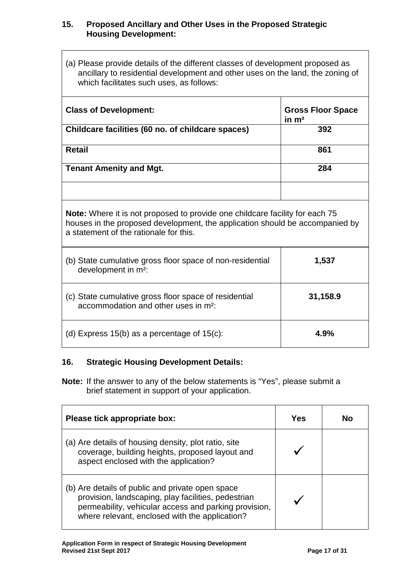#### **15. Proposed Ancillary and Other Uses in the Proposed Strategic Housing Development:**

(a) Please provide details of the different classes of development proposed as ancillary to residential development and other uses on the land, the zoning of which facilitates such uses, as follows:

| <b>Class of Development:</b>                      | <b>Gross Floor Space</b><br>in $m2$ |
|---------------------------------------------------|-------------------------------------|
| Childcare facilities (60 no. of childcare spaces) | 392                                 |
|                                                   |                                     |
| <b>Retail</b>                                     | 861                                 |
|                                                   |                                     |
| <b>Tenant Amenity and Mgt.</b>                    | 284                                 |
|                                                   |                                     |
|                                                   |                                     |
|                                                   |                                     |

**Note:** Where it is not proposed to provide one childcare facility for each 75 houses in the proposed development, the application should be accompanied by a statement of the rationale for this.

| (b) State cumulative gross floor space of non-residential<br>development in m <sup>2</sup> :              | 1,537    |
|-----------------------------------------------------------------------------------------------------------|----------|
| (c) State cumulative gross floor space of residential<br>accommodation and other uses in m <sup>2</sup> : | 31,158.9 |
| (d) Express $15(b)$ as a percentage of $15(c)$ :                                                          | 4.9%     |

#### **16. Strategic Housing Development Details:**

**Note:** If the answer to any of the below statements is "Yes", please submit a brief statement in support of your application.

| Please tick appropriate box:                                                                                                                                                                                       | Yes | Nο |
|--------------------------------------------------------------------------------------------------------------------------------------------------------------------------------------------------------------------|-----|----|
| (a) Are details of housing density, plot ratio, site<br>coverage, building heights, proposed layout and<br>aspect enclosed with the application?                                                                   |     |    |
| (b) Are details of public and private open space<br>provision, landscaping, play facilities, pedestrian<br>permeability, vehicular access and parking provision,<br>where relevant, enclosed with the application? |     |    |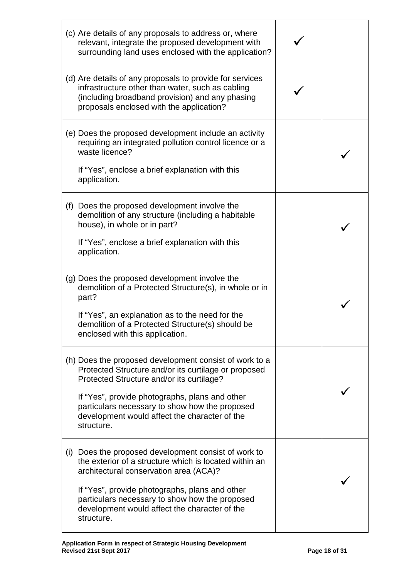| (c) Are details of any proposals to address or, where<br>relevant, integrate the proposed development with<br>surrounding land uses enclosed with the application?                                                                                                                                                             |  |
|--------------------------------------------------------------------------------------------------------------------------------------------------------------------------------------------------------------------------------------------------------------------------------------------------------------------------------|--|
| (d) Are details of any proposals to provide for services<br>infrastructure other than water, such as cabling<br>(including broadband provision) and any phasing<br>proposals enclosed with the application?                                                                                                                    |  |
| (e) Does the proposed development include an activity<br>requiring an integrated pollution control licence or a<br>waste licence?<br>If "Yes", enclose a brief explanation with this<br>application.                                                                                                                           |  |
| (f) Does the proposed development involve the<br>demolition of any structure (including a habitable<br>house), in whole or in part?<br>If "Yes", enclose a brief explanation with this<br>application.                                                                                                                         |  |
| (g) Does the proposed development involve the<br>demolition of a Protected Structure(s), in whole or in<br>part?<br>If "Yes", an explanation as to the need for the<br>demolition of a Protected Structure(s) should be<br>enclosed with this application.                                                                     |  |
| (h) Does the proposed development consist of work to a<br>Protected Structure and/or its curtilage or proposed<br>Protected Structure and/or its curtilage?<br>If "Yes", provide photographs, plans and other<br>particulars necessary to show how the proposed<br>development would affect the character of the<br>structure. |  |
| (i) Does the proposed development consist of work to<br>the exterior of a structure which is located within an<br>architectural conservation area (ACA)?<br>If "Yes", provide photographs, plans and other<br>particulars necessary to show how the proposed<br>development would affect the character of the<br>structure.    |  |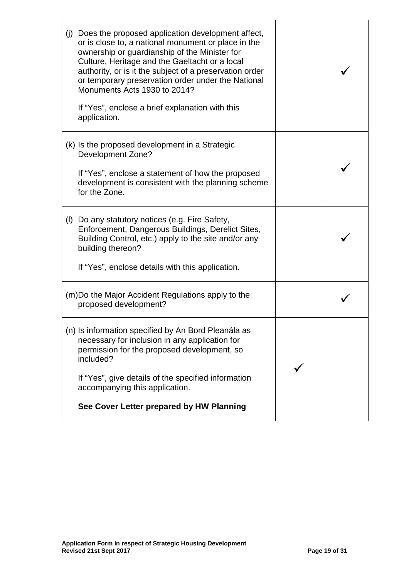| Does the proposed application development affect,<br>(j)<br>or is close to, a national monument or place in the<br>ownership or guardianship of the Minister for<br>Culture, Heritage and the Gaeltacht or a local<br>authority, or is it the subject of a preservation order<br>or temporary preservation order under the National<br>Monuments Acts 1930 to 2014?<br>If "Yes", enclose a brief explanation with this<br>application. |  |
|----------------------------------------------------------------------------------------------------------------------------------------------------------------------------------------------------------------------------------------------------------------------------------------------------------------------------------------------------------------------------------------------------------------------------------------|--|
| (k) Is the proposed development in a Strategic<br><b>Development Zone?</b><br>If "Yes", enclose a statement of how the proposed<br>development is consistent with the planning scheme<br>for the Zone.                                                                                                                                                                                                                                 |  |
| (1)<br>Do any statutory notices (e.g. Fire Safety,<br>Enforcement, Dangerous Buildings, Derelict Sites,<br>Building Control, etc.) apply to the site and/or any<br>building thereon?<br>If "Yes", enclose details with this application.                                                                                                                                                                                               |  |
| (m) Do the Major Accident Regulations apply to the<br>proposed development?                                                                                                                                                                                                                                                                                                                                                            |  |
| (n) Is information specified by An Bord Pleanála as<br>necessary for inclusion in any application for<br>permission for the proposed development, so<br>included?<br>If "Yes", give details of the specified information<br>accompanying this application.<br>See Cover Letter prepared by HW Planning                                                                                                                                 |  |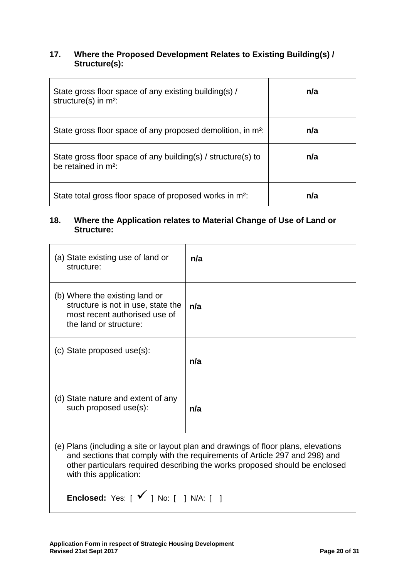#### **17. Where the Proposed Development Relates to Existing Building(s) / Structure(s):**

| State gross floor space of any existing building(s) /<br>structure(s) in $m^2$ :       | n/a |
|----------------------------------------------------------------------------------------|-----|
| State gross floor space of any proposed demolition, in m <sup>2</sup> :                | n/a |
| State gross floor space of any building(s) / structure(s) to<br>be retained in $m^2$ : | n/a |
| State total gross floor space of proposed works in m <sup>2</sup> :                    | n/a |

#### **18. Where the Application relates to Material Change of Use of Land or Structure:**

| (a) State existing use of land or<br>structure:                                                                                                                                                                                                                           | n/a |  |
|---------------------------------------------------------------------------------------------------------------------------------------------------------------------------------------------------------------------------------------------------------------------------|-----|--|
| (b) Where the existing land or<br>structure is not in use, state the<br>most recent authorised use of<br>the land or structure:                                                                                                                                           | n/a |  |
| (c) State proposed use(s):                                                                                                                                                                                                                                                | n/a |  |
| (d) State nature and extent of any<br>such proposed use(s):                                                                                                                                                                                                               | n/a |  |
| (e) Plans (including a site or layout plan and drawings of floor plans, elevations<br>and sections that comply with the requirements of Article 297 and 298) and<br>other particulars required describing the works proposed should be enclosed<br>with this application: |     |  |
| Enclosed: Yes: $[\sqrt{ } ]$ No: $[ ]$ N/A: $[ ]$                                                                                                                                                                                                                         |     |  |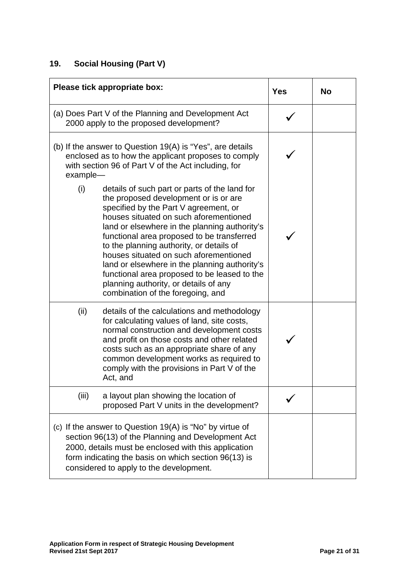## **19. Social Housing (Part V)**

|          | Please tick appropriate box:                                                                                                                                                                                                                                                                                                                                                                                                                                                                                                                  | <b>Yes</b> | <b>No</b> |
|----------|-----------------------------------------------------------------------------------------------------------------------------------------------------------------------------------------------------------------------------------------------------------------------------------------------------------------------------------------------------------------------------------------------------------------------------------------------------------------------------------------------------------------------------------------------|------------|-----------|
|          | (a) Does Part V of the Planning and Development Act<br>2000 apply to the proposed development?                                                                                                                                                                                                                                                                                                                                                                                                                                                |            |           |
| example- | (b) If the answer to Question $19(A)$ is "Yes", are details<br>enclosed as to how the applicant proposes to comply<br>with section 96 of Part V of the Act including, for                                                                                                                                                                                                                                                                                                                                                                     |            |           |
| (i)      | details of such part or parts of the land for<br>the proposed development or is or are<br>specified by the Part V agreement, or<br>houses situated on such aforementioned<br>land or elsewhere in the planning authority's<br>functional area proposed to be transferred<br>to the planning authority, or details of<br>houses situated on such aforementioned<br>land or elsewhere in the planning authority's<br>functional area proposed to be leased to the<br>planning authority, or details of any<br>combination of the foregoing, and |            |           |
| (ii)     | details of the calculations and methodology<br>for calculating values of land, site costs,<br>normal construction and development costs<br>and profit on those costs and other related<br>costs such as an appropriate share of any<br>common development works as required to<br>comply with the provisions in Part V of the<br>Act, and                                                                                                                                                                                                     |            |           |
| (iii)    | a layout plan showing the location of<br>proposed Part V units in the development?                                                                                                                                                                                                                                                                                                                                                                                                                                                            |            |           |
|          | (c) If the answer to Question $19(A)$ is "No" by virtue of<br>section 96(13) of the Planning and Development Act<br>2000, details must be enclosed with this application<br>form indicating the basis on which section 96(13) is<br>considered to apply to the development.                                                                                                                                                                                                                                                                   |            |           |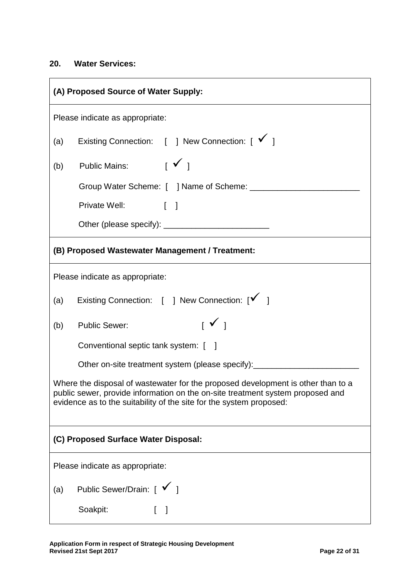#### **20. Water Services:**

| (A) Proposed Source of Water Supply:                                                                                                                                                                                                      |  |  |
|-------------------------------------------------------------------------------------------------------------------------------------------------------------------------------------------------------------------------------------------|--|--|
| Please indicate as appropriate:                                                                                                                                                                                                           |  |  |
| Existing Connection: [ ] New Connection: [ √ ]<br>(a)                                                                                                                                                                                     |  |  |
| Public Mains: $\begin{bmatrix} \checkmark \end{bmatrix}$<br>(b)                                                                                                                                                                           |  |  |
|                                                                                                                                                                                                                                           |  |  |
| Private Well: [ ]                                                                                                                                                                                                                         |  |  |
|                                                                                                                                                                                                                                           |  |  |
| (B) Proposed Wastewater Management / Treatment:                                                                                                                                                                                           |  |  |
| Please indicate as appropriate:                                                                                                                                                                                                           |  |  |
| Existing Connection: [ ] New Connection: [√ ]<br>(a)                                                                                                                                                                                      |  |  |
| $\begin{array}{c} \square \ \square \ \square \end{array}$<br>(b)<br><b>Public Sewer:</b>                                                                                                                                                 |  |  |
| Conventional septic tank system: [ ]                                                                                                                                                                                                      |  |  |
| Other on-site treatment system (please specify): _________________                                                                                                                                                                        |  |  |
| Where the disposal of wastewater for the proposed development is other than to a<br>public sewer, provide information on the on-site treatment system proposed and<br>evidence as to the suitability of the site for the system proposed: |  |  |
| (C) Proposed Surface Water Disposal:                                                                                                                                                                                                      |  |  |
| Please indicate as appropriate:                                                                                                                                                                                                           |  |  |
| Public Sewer/Drain: [ √ ]<br>(a)                                                                                                                                                                                                          |  |  |
| Soakpit:<br>$\begin{bmatrix} 1 \end{bmatrix}$                                                                                                                                                                                             |  |  |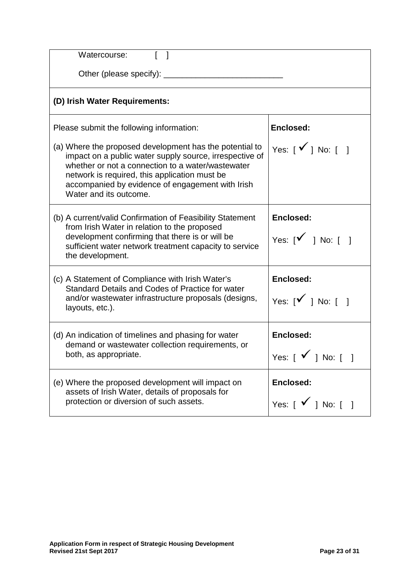| Watercourse:                                                                                                                                                                                                                                                                                           |                                                                                                                                       |  |
|--------------------------------------------------------------------------------------------------------------------------------------------------------------------------------------------------------------------------------------------------------------------------------------------------------|---------------------------------------------------------------------------------------------------------------------------------------|--|
| Other (please specify):                                                                                                                                                                                                                                                                                |                                                                                                                                       |  |
| (D) Irish Water Requirements:                                                                                                                                                                                                                                                                          |                                                                                                                                       |  |
| Please submit the following information:                                                                                                                                                                                                                                                               | Enclosed:                                                                                                                             |  |
| (a) Where the proposed development has the potential to<br>impact on a public water supply source, irrespective of<br>whether or not a connection to a water/wastewater<br>network is required, this application must be<br>accompanied by evidence of engagement with Irish<br>Water and its outcome. | Yes: $\lceil \sqrt{\ } \rceil$ No: $\lceil \ \rceil$                                                                                  |  |
| (b) A current/valid Confirmation of Feasibility Statement<br>from Irish Water in relation to the proposed<br>development confirming that there is or will be<br>sufficient water network treatment capacity to service<br>the development.                                                             | Enclosed:<br>Yes: $\begin{bmatrix} \checkmark & \checkmark \end{bmatrix}$ No: $\begin{bmatrix} \checkmark & \checkmark \end{bmatrix}$ |  |
| (c) A Statement of Compliance with Irish Water's<br>Standard Details and Codes of Practice for water<br>and/or wastewater infrastructure proposals (designs,<br>layouts, etc.).                                                                                                                        | Enclosed:<br>Yes: $\begin{bmatrix} \checkmark & \checkmark \end{bmatrix}$ No: $\begin{bmatrix} \checkmark & \checkmark \end{bmatrix}$ |  |
| (d) An indication of timelines and phasing for water<br>demand or wastewater collection requirements, or<br>both, as appropriate.                                                                                                                                                                      | Enclosed:<br>Yes: $[\sqrt{ } ]$ No: $[ ]$                                                                                             |  |
| (e) Where the proposed development will impact on<br>assets of Irish Water, details of proposals for<br>protection or diversion of such assets.                                                                                                                                                        | Enclosed:<br>Yes: $\begin{bmatrix} \checkmark \end{bmatrix}$ No: $\begin{bmatrix} \checkmark \end{bmatrix}$                           |  |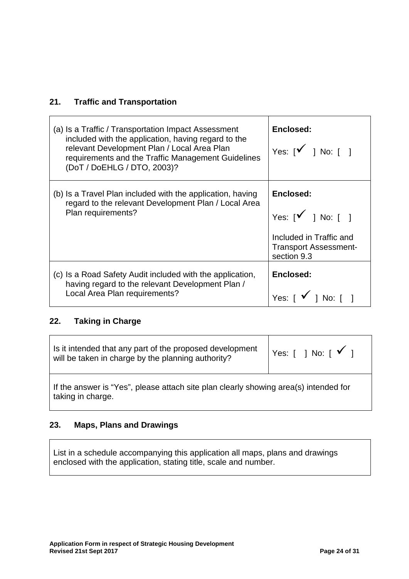## **21. Traffic and Transportation**

 $\blacksquare$ 

| (a) Is a Traffic / Transportation Impact Assessment<br>included with the application, having regard to the<br>relevant Development Plan / Local Area Plan<br>requirements and the Traffic Management Guidelines<br>(DoT / DoEHLG / DTO, 2003)? | Enclosed:<br>Yes: $[\mathbf{V} \quad]$ No: $[\quad]$                                                                |
|------------------------------------------------------------------------------------------------------------------------------------------------------------------------------------------------------------------------------------------------|---------------------------------------------------------------------------------------------------------------------|
| (b) Is a Travel Plan included with the application, having<br>regard to the relevant Development Plan / Local Area<br>Plan requirements?                                                                                                       | Enclosed:<br>Yes: $[\sqrt{ } ]$ No: $[ ]$<br>Included in Traffic and<br><b>Transport Assessment-</b><br>section 9.3 |
| (c) Is a Road Safety Audit included with the application,<br>having regard to the relevant Development Plan /<br>Local Area Plan requirements?                                                                                                 | Enclosed:<br>Yes: $\begin{bmatrix} \checkmark \end{bmatrix}$ No: $\begin{bmatrix} \checkmark \end{bmatrix}$         |

## **22. Taking in Charge**

| Is it intended that any part of the proposed development<br>will be taken in charge by the planning authority? | Yes: $\begin{bmatrix} 1 & \text{No:} \end{bmatrix}$ $\begin{bmatrix} 1 & \text{No:} \end{bmatrix}$ |  |
|----------------------------------------------------------------------------------------------------------------|----------------------------------------------------------------------------------------------------|--|
| If the answer is "Yes", please attach site plan clearly showing area(s) intended for<br>taking in charge.      |                                                                                                    |  |

### **23. Maps, Plans and Drawings**

List in a schedule accompanying this application all maps, plans and drawings enclosed with the application, stating title, scale and number.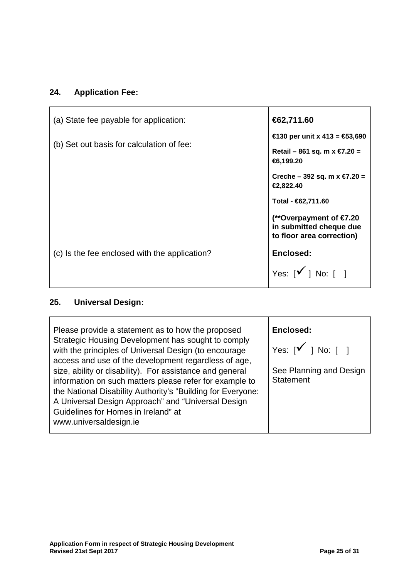## **24. Application Fee:**

| (a) State fee payable for application:        | €62,711.60                                                                      |
|-----------------------------------------------|---------------------------------------------------------------------------------|
| (b) Set out basis for calculation of fee:     | €130 per unit x 413 = €53,690<br>Retail – 861 sq. m x $€7.20 =$<br>€6,199.20    |
|                                               | Creche – 392 sq. m $x \in Z$ .20 =<br>€2,822.40                                 |
|                                               | Total - €62,711.60                                                              |
|                                               | (**Overpayment of €7.20<br>in submitted cheque due<br>to floor area correction) |
| (c) Is the fee enclosed with the application? | Enclosed:                                                                       |
|                                               | Yes: $[\checkmark]$ No: $[ \; ]$                                                |

# **25. Universal Design:**

| Please provide a statement as to how the proposed<br>Strategic Housing Development has sought to comply<br>with the principles of Universal Design (to encourage<br>access and use of the development regardless of age,<br>size, ability or disability). For assistance and general<br>information on such matters please refer for example to<br>the National Disability Authority's "Building for Everyone:<br>A Universal Design Approach" and "Universal Design | Enclosed:<br>Yes: $[\check{'}]$ No: $[\; ]$<br>See Planning and Design<br><b>Statement</b> |
|----------------------------------------------------------------------------------------------------------------------------------------------------------------------------------------------------------------------------------------------------------------------------------------------------------------------------------------------------------------------------------------------------------------------------------------------------------------------|--------------------------------------------------------------------------------------------|
| Guidelines for Homes in Ireland" at<br>www.universaldesign.ie                                                                                                                                                                                                                                                                                                                                                                                                        |                                                                                            |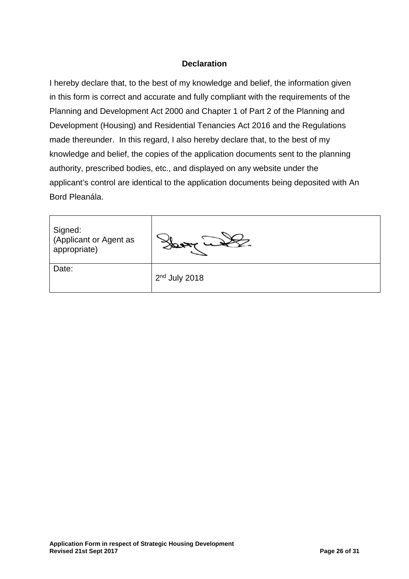#### **Declaration**

I hereby declare that, to the best of my knowledge and belief, the information given in this form is correct and accurate and fully compliant with the requirements of the Planning and Development Act 2000 and Chapter 1 of Part 2 of the Planning and Development (Housing) and Residential Tenancies Act 2016 and the Regulations made thereunder. In this regard, I also hereby declare that, to the best of my knowledge and belief, the copies of the application documents sent to the planning authority, prescribed bodies, etc., and displayed on any website under the applicant's control are identical to the application documents being deposited with An Bord Pleanála.

| Signed:<br>(Applicant or Agent as<br>appropriate) |                 |
|---------------------------------------------------|-----------------|
| Date:                                             | $2nd$ July 2018 |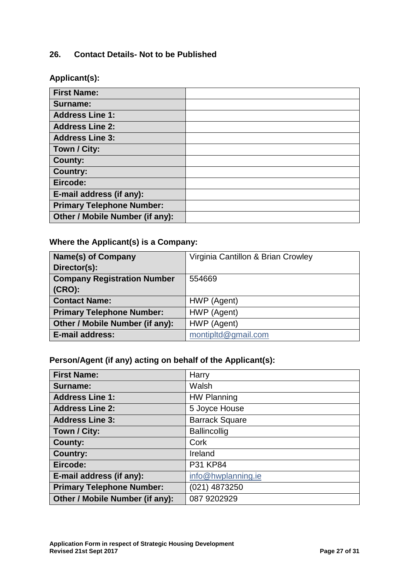#### **26. Contact Details- Not to be Published**

**Applicant(s):**

| <b>First Name:</b>               |  |
|----------------------------------|--|
| Surname:                         |  |
| <b>Address Line 1:</b>           |  |
| <b>Address Line 2:</b>           |  |
| <b>Address Line 3:</b>           |  |
| Town / City:                     |  |
| <b>County:</b>                   |  |
| Country:                         |  |
| Eircode:                         |  |
| E-mail address (if any):         |  |
| <b>Primary Telephone Number:</b> |  |
| Other / Mobile Number (if any):  |  |

## **Where the Applicant(s) is a Company:**

| <b>Name(s) of Company</b>          | Virginia Cantillon & Brian Crowley |
|------------------------------------|------------------------------------|
| Director(s):                       |                                    |
| <b>Company Registration Number</b> | 554669                             |
| $(CRO)$ :                          |                                    |
| <b>Contact Name:</b>               | HWP (Agent)                        |
| <b>Primary Telephone Number:</b>   | HWP (Agent)                        |
| Other / Mobile Number (if any):    | HWP (Agent)                        |
| <b>E-mail address:</b>             | montipltd@gmail.com                |

## **Person/Agent (if any) acting on behalf of the Applicant(s):**

| <b>First Name:</b>               | Harry                 |
|----------------------------------|-----------------------|
| Surname:                         | Walsh                 |
| <b>Address Line 1:</b>           | <b>HW Planning</b>    |
| <b>Address Line 2:</b>           | 5 Joyce House         |
| <b>Address Line 3:</b>           | <b>Barrack Square</b> |
| Town / City:                     | <b>Ballincollig</b>   |
| <b>County:</b>                   | Cork                  |
| <b>Country:</b>                  | Ireland               |
| Eircode:                         | P31 KP84              |
| E-mail address (if any):         | info@hwplanning.ie    |
| <b>Primary Telephone Number:</b> | (021) 4873250         |
| Other / Mobile Number (if any):  | 087 9202929           |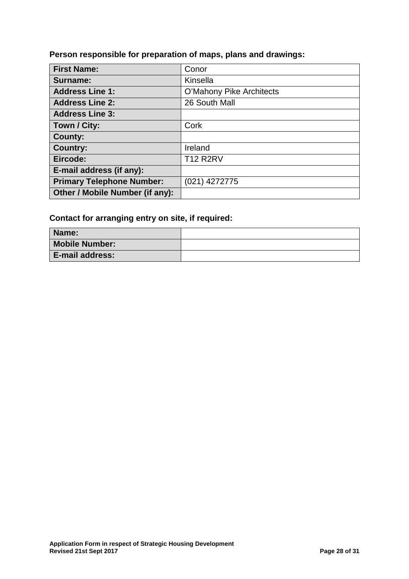**Person responsible for preparation of maps, plans and drawings:**

| <b>First Name:</b>               | Conor                    |
|----------------------------------|--------------------------|
| Surname:                         | Kinsella                 |
| <b>Address Line 1:</b>           | O'Mahony Pike Architects |
| <b>Address Line 2:</b>           | 26 South Mall            |
| <b>Address Line 3:</b>           |                          |
| Town / City:                     | Cork                     |
| <b>County:</b>                   |                          |
| <b>Country:</b>                  | Ireland                  |
| Eircode:                         | <b>T12 R2RV</b>          |
| E-mail address (if any):         |                          |
| <b>Primary Telephone Number:</b> | $(021)$ 4272775          |
| Other / Mobile Number (if any):  |                          |

## **Contact for arranging entry on site, if required:**

| Name:                  |  |
|------------------------|--|
| <b>Mobile Number:</b>  |  |
| <b>E-mail address:</b> |  |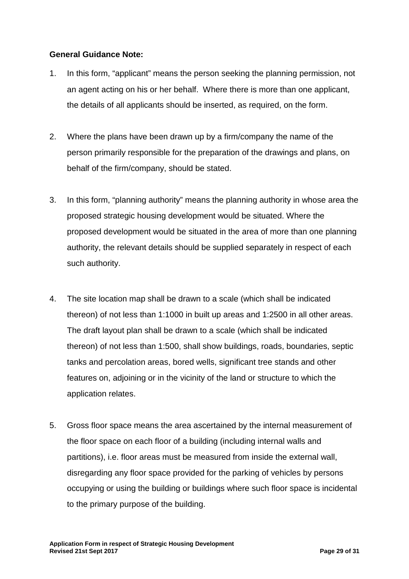#### **General Guidance Note:**

- 1. In this form, "applicant" means the person seeking the planning permission, not an agent acting on his or her behalf. Where there is more than one applicant, the details of all applicants should be inserted, as required, on the form.
- 2. Where the plans have been drawn up by a firm/company the name of the person primarily responsible for the preparation of the drawings and plans, on behalf of the firm/company, should be stated.
- 3. In this form, "planning authority" means the planning authority in whose area the proposed strategic housing development would be situated. Where the proposed development would be situated in the area of more than one planning authority, the relevant details should be supplied separately in respect of each such authority.
- 4. The site location map shall be drawn to a scale (which shall be indicated thereon) of not less than 1:1000 in built up areas and 1:2500 in all other areas. The draft layout plan shall be drawn to a scale (which shall be indicated thereon) of not less than 1:500, shall show buildings, roads, boundaries, septic tanks and percolation areas, bored wells, significant tree stands and other features on, adjoining or in the vicinity of the land or structure to which the application relates.
- 5. Gross floor space means the area ascertained by the internal measurement of the floor space on each floor of a building (including internal walls and partitions), i.e. floor areas must be measured from inside the external wall, disregarding any floor space provided for the parking of vehicles by persons occupying or using the building or buildings where such floor space is incidental to the primary purpose of the building.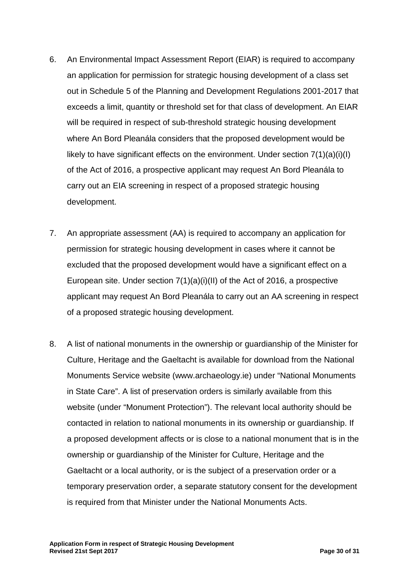- 6. An Environmental Impact Assessment Report (EIAR) is required to accompany an application for permission for strategic housing development of a class set out in Schedule 5 of the Planning and Development Regulations 2001-2017 that exceeds a limit, quantity or threshold set for that class of development. An EIAR will be required in respect of sub-threshold strategic housing development where An Bord Pleanála considers that the proposed development would be likely to have significant effects on the environment. Under section 7(1)(a)(i)(I) of the Act of 2016, a prospective applicant may request An Bord Pleanála to carry out an EIA screening in respect of a proposed strategic housing development.
- 7. An appropriate assessment (AA) is required to accompany an application for permission for strategic housing development in cases where it cannot be excluded that the proposed development would have a significant effect on a European site. Under section 7(1)(a)(i)(II) of the Act of 2016, a prospective applicant may request An Bord Pleanála to carry out an AA screening in respect of a proposed strategic housing development.
- 8. A list of national monuments in the ownership or guardianship of the Minister for Culture, Heritage and the Gaeltacht is available for download from the National Monuments Service website (www.archaeology.ie) under "National Monuments in State Care". A list of preservation orders is similarly available from this website (under "Monument Protection"). The relevant local authority should be contacted in relation to national monuments in its ownership or guardianship. If a proposed development affects or is close to a national monument that is in the ownership or guardianship of the Minister for Culture, Heritage and the Gaeltacht or a local authority, or is the subject of a preservation order or a temporary preservation order, a separate statutory consent for the development is required from that Minister under the National Monuments Acts.